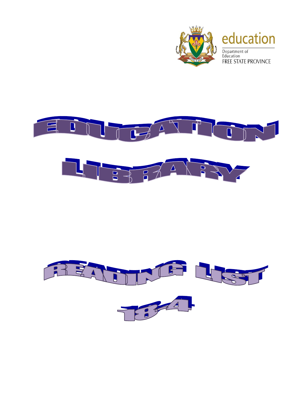



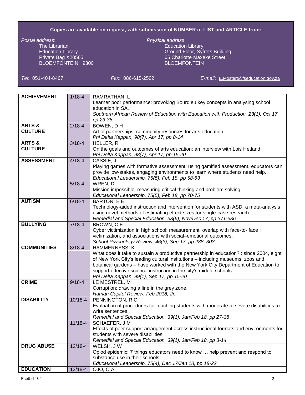## **Copies are available on request, with submission of NUMBER of LIST and ARTICLE from:**

The Librarian Education Library Company and Company Education Library BLOEMFONTEIN 9300

## *Postal address*: *Physical address*:

Education Library Ground Floor, Syfrets Building<br>
Private Bag X20565<br>
G5 Charlotte Maxeke Street 65 Charlotte Maxeke Street

*Tel*: 051-404-8467 *Fax*: 086-615-2502 *E-mail*: [E.Mostert@fseducation.gov.za](mailto:E.Mostert@fseducation.gov.za)

| <b>ACHIEVEMENT</b> | $1/18 - 4$  | RAMRATHAN, L                                                                            |
|--------------------|-------------|-----------------------------------------------------------------------------------------|
|                    |             | Learner poor performance: provoking Bourdieu key concepts in analysing school           |
|                    |             | education in SA.                                                                        |
|                    |             | Southern African Review of Education with Education with Production, 23(1), Oct 17,     |
|                    |             | pp 23-36                                                                                |
| <b>ARTS &amp;</b>  | $2/18 - 4$  | BOWEN, DH                                                                               |
| <b>CULTURE</b>     |             | Art of partnerships: community resources for arts education.                            |
|                    |             | Phi Delta Kappan, 98(7), Apr 17, pp 8-14                                                |
| <b>ARTS &amp;</b>  | $3/18 - 4$  | HELLER, R                                                                               |
| <b>CULTURE</b>     |             | On the goals and outcomes of arts education: an interview with Lois Hetland             |
|                    |             | Phi Delta Kappan, 98(7), Apr 17, pp 15-20                                               |
| <b>ASSESSMENT</b>  | $4/18 - 4$  | CASSIE, J                                                                               |
|                    |             | Playing games with formative assessment: using gamified assessment, educators can       |
|                    |             | provide low-stakes, engaging environments to learn where students need help.            |
|                    |             | Educational Leadership, 75(5), Feb 18, pp 58-63                                         |
|                    | $5/18 - 4$  | WREN, D                                                                                 |
|                    |             | Mission impossible: measuring critical thinking and problem solving.                    |
|                    |             | Educational Leadership, 75(5), Feb 18, pp 70-75                                         |
| <b>AUTISM</b>      | $6/18 - 4$  | BARTON, E E                                                                             |
|                    |             | Technology-aided instruction and intervention for students with ASD: a meta-analysis    |
|                    |             | using novel methods of estimating effect sizes for single-case research.                |
|                    |             | Remedial and Special Education, 38(6), Nov/Dec 17, pp 371-386                           |
| <b>BULLYING</b>    | $7/18 - 4$  | BROWN, CF                                                                               |
|                    |             | Cyber victimization in high school: measurement, overlap with face-to-face              |
|                    |             | victimization, and associations with social-emotional outcomes.                         |
|                    |             | School Psychology Review, 46(3), Sep 17, pp 288-303                                     |
| <b>COMMUNITIES</b> | $8/18 - 4$  | <b>HAMMERNESS, K</b>                                                                    |
|                    |             | What does it take to sustain a productive partnership in education? : since 2004, eight |
|                    |             | of New York City's leading cultural institutions - including museums, zoos and          |
|                    |             | botanical gardens - have worked with the New York City Department of Education to       |
|                    |             | support effective science instruction in the city's middle schools.                     |
| <b>CRIME</b>       |             | Phi Delta Kappan, 99(1), Sep 17, pp 15-20<br>LE MESTREL, M                              |
|                    | $9/18 - 4$  | Corruption: drawing a line in the grey zone.                                            |
|                    |             | Human Capitol Review, Feb 2018, 2p                                                      |
| <b>DISABILITY</b>  | $10/18 - 4$ | PENNINGTON, R C                                                                         |
|                    |             | Evaluation of procedures for teaching students with moderate to severe disabilities to  |
|                    |             | write sentences.                                                                        |
|                    |             | Remedial and Special Education, 39(1), Jan/Feb 18, pp 27-38                             |
|                    | $11/18 - 4$ | SCHAEFER, J M                                                                           |
|                    |             | Effects of peer support arrangement across instructional formats and environments for   |
|                    |             | students with severe disabilities.                                                      |
|                    |             | Remedial and Special Education, 39(1), Jan/Feb 18, pp 3-14                              |
| <b>DRUG ABUSE</b>  | $12/18 - 4$ | WELSH, JW                                                                               |
|                    |             | Opiod epidemic: 7 things educators need to know  help prevent and respond to            |
|                    |             | substance use in their schools.                                                         |
|                    |             | Educational Leadership, 75(4), Dec 17/Jan 18, pp 18-22                                  |
| <b>EDUCATION</b>   | 13/18-4     | OJO, O A                                                                                |
|                    |             |                                                                                         |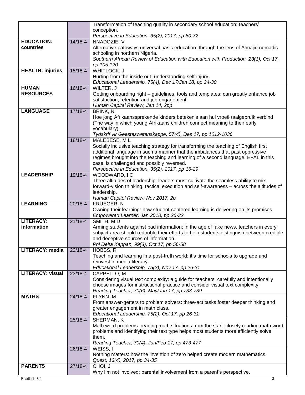|                                |             | Transformation of teaching quality in secondary school education: teachers'                                                     |
|--------------------------------|-------------|---------------------------------------------------------------------------------------------------------------------------------|
|                                |             | conception.                                                                                                                     |
|                                |             | Perspective in Education, 35(2), 2017, pp 60-72                                                                                 |
| <b>EDUCATION:</b><br>countries | 14/18-4     | NNADOZIE, V                                                                                                                     |
|                                |             | Alternative pathways universal basic education: through the lens of Almajiri nomadic<br>schooling in northern Nigeria.          |
|                                |             | Southern African Review of Education with Education with Production, 23(1), Oct 17,                                             |
|                                |             | pp 105-120                                                                                                                      |
| <b>HEALTH: injuries</b>        | $15/18 - 4$ | WHITLOCK, J                                                                                                                     |
|                                |             | Hurting from the inside out: understanding self-injury.                                                                         |
|                                |             | Educational Leadership, 75(4), Dec 17/Jan 18, pp 24-30                                                                          |
| <b>HUMAN</b>                   | 16/18-4     | WILTER, J                                                                                                                       |
| <b>RESOURCES</b>               |             | Getting onboarding right – guidelines, tools and templates: can greatly enhance job                                             |
|                                |             | satisfaction, retention and job engagement.                                                                                     |
| <b>LANGUAGE</b>                | $17/18 - 4$ | Human Capital Review, Jan 14, 2pp<br>BRINK, N                                                                                   |
|                                |             | Hoe jong Afrikaanssprekende kinders betekenis aan hul vroeë taalgebruik verbind                                                 |
|                                |             | (The way in which young Afrikaans children connect meaning to their early                                                       |
|                                |             | vocabulary).                                                                                                                    |
|                                |             | Tydskrif vir Geesteswetenskappe, 57(4), Des 17, pp 1012-1036                                                                    |
|                                | 18/18-4     | MALEBESE, ML                                                                                                                    |
|                                |             | Socially inclusive teaching strategy for transforming the teaching of English first                                             |
|                                |             | additional language in such a manner that the imbalances that past oppressive                                                   |
|                                |             | regimes brought into the teaching and learning of a second language, EFAL in this<br>case, is challenged and possibly reversed. |
|                                |             | Perspective in Education, 35(2), 2017, pp 16-29                                                                                 |
| <b>LEADERSHIP</b>              | 19/18-4     | WOODWARD, IC                                                                                                                    |
|                                |             | Three altitudes of leadership: leaders must cultivate the seamless ability to mix                                               |
|                                |             | forward-vision thinking, tactical execution and self-awareness - across the altitudes of                                        |
|                                |             | leadership.                                                                                                                     |
|                                |             | Human Capitol Review, Nov 2017, 2p                                                                                              |
| <b>LEARNING</b>                | 20/18-4     | <b>KRUEGER, N</b>                                                                                                               |
|                                |             | Owning their learning: how student-centered learning is delivering on its promises.                                             |
| <b>LITERACY:</b>               | $21/18 - 4$ | Empowered Learner, Jan 2018, pp 26-32<br>SMITH, MD                                                                              |
| information                    |             | Arming students against bad information: in the age of fake news, teachers in every                                             |
|                                |             | subject area should redouble their efforts to help students distinguish between credible                                        |
|                                |             | and deceptive sources of information.                                                                                           |
|                                |             | Phi Delta Kappan, 99(3), Oct 17, pp 56-58                                                                                       |
| <b>LITERACY: media</b>         | $22/18 - 4$ | HOBBS, R                                                                                                                        |
|                                |             | Teaching and learning in a post-truth world: it's time for schools to upgrade and                                               |
|                                |             | reinvest in media literacy.                                                                                                     |
| <b>LITERACY: visual</b>        | $23/18 - 4$ | Educational Leadership, 75(3), Nov 17, pp 26-31<br>CAPPELLO, M                                                                  |
|                                |             | Considering visual text complexity: a guide for teachers: carefully and intentionally                                           |
|                                |             | choose images for instructional practice and consider visual text complexity.                                                   |
|                                |             | Reading Teacher, 70(6), May/Jun 17, pp 733-739                                                                                  |
| <b>MATHS</b>                   | $24/18 - 4$ | FLYNN, M                                                                                                                        |
|                                |             | From answer-getters to problem solvers: three-act tasks foster deeper thinking and                                              |
|                                |             | greater engagement in math class.                                                                                               |
|                                |             | Educational Leadership, 75(2), Oct 17, pp 26-31                                                                                 |
|                                | $25/18-4$   | SHERMAN, K<br>Math word problems: reading math situations from the start: closely reading math word                             |
|                                |             | problems and identifying their text type helps most students more efficiently solve                                             |
|                                |             | them.                                                                                                                           |
|                                |             | Reading Teacher, 70(4), Jan/Feb 17, pp 473-477                                                                                  |
|                                | 26/18-4     | WEISS, I                                                                                                                        |
|                                |             | Nothing matters: how the invention of zero helped create modern mathematics.                                                    |
|                                |             | Quest, 13(4), 2017, pp 34-35                                                                                                    |
| <b>PARENTS</b>                 | $27/18 - 4$ | CHOI, J                                                                                                                         |
|                                |             | Why I'm not involved: parental involvement from a parent's perspective.                                                         |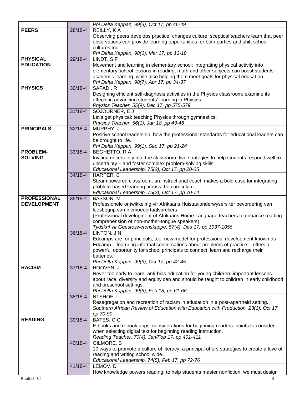|                     |             | Phi Delta Kappan, 99(3), Oct 17, pp 46-49                                                        |
|---------------------|-------------|--------------------------------------------------------------------------------------------------|
| <b>PEERS</b>        | 28/18-4     | REILLY, KA                                                                                       |
|                     |             | Observing peers develops practice, changes culture: sceptical teachers learn that peer           |
|                     |             | observations can provide learning opportunities for both parties and shift school                |
|                     |             | cultures too.                                                                                    |
|                     |             | Phi Delta Kappan, 98(6), Mar 17, pp 13-18                                                        |
| <b>PHYSICAL</b>     | 29/18-4     | LINDT, SF                                                                                        |
| <b>EDUCATION</b>    |             | Movement and learning in elementary school: integrating physical activity into                   |
|                     |             | elementary school lessons in reading, math and other subjects can boost students'                |
|                     |             | academic learning, while also helping them meet goals for physical education.                    |
|                     |             | Phi Delta Kappan, 98(7), Apr 17, pp 34-37                                                        |
| <b>PHYSICS</b>      | $30/18 - 4$ | SAFADI, R                                                                                        |
|                     |             | Designing efficient self-diagnosis activities in the Physics classroom: examine its              |
|                     |             | effects in advancing students' learning in Physics.                                              |
|                     |             | Physics Teacher, 55(9), Dec 17, pp 575-579                                                       |
|                     | $31/18 - 4$ | SOJOURNER, E J                                                                                   |
|                     |             | Let's get physical: teaching Physics through gymnastics.                                         |
|                     |             | Physics Teacher, 56(1), Jan 18, pp 43-46                                                         |
| <b>PRINCIPALS</b>   | $32/18 - 4$ | MURPHY, J                                                                                        |
|                     |             | Positive school leadership: how the professional standards for educational leaders can           |
|                     |             | be brought to life.                                                                              |
|                     |             | Phi Delta Kappan, 99(1), Sep 17, pp 21-24                                                        |
| <b>PROBLEM-</b>     | $33/18 - 4$ | BEGHETTO, R A                                                                                    |
| <b>SOLVING</b>      |             | Inviting uncertainty into the classroom: five strategies to help students respond well to        |
|                     |             | uncertainty - and foster complex problem-solving skills.                                         |
|                     |             | Educational Leadership, 75(2), Oct 17, pp 20-25                                                  |
|                     | $34/18 - 4$ | HARPER, C                                                                                        |
|                     |             | Steam powered classroom: an instructional coach makes a bold case for integrating                |
|                     |             | problem-based learning across the curriculum.                                                    |
|                     |             | Educational Leadership, 75(2), Oct 17, pp 70-74                                                  |
| <b>PROFESSIONAL</b> | $35/18 - 4$ | BASSON, M                                                                                        |
| <b>DEVELOPMENT</b>  |             | Professionele ontwikkeling vir Afrikaans Huistaalonderwysers ter bevordering van                 |
|                     |             | leesbegrip van niemoedertaalsprekers                                                             |
|                     |             | (Professional development of Afrikaans Home Language teachers to enhance reading                 |
|                     |             | comprehension of non-mother-tongue speakers)                                                     |
|                     |             | Tydskrif vir Geesteswetenskappe, 57(4), Des 17, pp 1037-1056                                     |
|                     | $36/18 - 4$ | LINTON, J N                                                                                      |
|                     |             | Edcamps are for principals, too: new model for professional development known as                 |
|                     |             | Edcamp – featuring informal conversations about problems of practice – offers a                  |
|                     |             | powerful opportunity for school principals to connect, learn and recharge their                  |
|                     |             | batteries.                                                                                       |
| <b>RACISM</b>       | $37/18 - 4$ | Phi Delta Kappan, 99(3), Oct 17, pp 42-45                                                        |
|                     |             | HOOVEN, J<br>Never too early to learn: anti-bias education for young children: important lessons |
|                     |             | about race, diversity and equity can and should be taught to children in early childhood         |
|                     |             | and preschool settings.                                                                          |
|                     |             | Phi Delta Kappan, 99(5), Feb 18, pp 61-66                                                        |
|                     | 38/18-4     | NTSHOE, I                                                                                        |
|                     |             | Resegregation and recreation of racism in education in a post-apartheid setting.                 |
|                     |             | Southern African Review of Education with Education with Production, 23(1), Oct 17,              |
|                     |             | pp 70-90                                                                                         |
| <b>READING</b>      | $39/18 - 4$ | BATES, CC                                                                                        |
|                     |             | E-books and e-book apps: considerations for beginning readers: points to consider                |
|                     |             | when selecting digital text for beginning reading instruction.                                   |
|                     |             | Reading Teacher, 70(4), Jan/Feb 17, pp 401-411                                                   |
|                     | $40/18 - 4$ | GILMORE, B                                                                                       |
|                     |             | 10 ways to promote a culture of literacy: a principal offers strategies to create a love of      |
|                     |             | reading and writing school wide.                                                                 |
|                     |             | Educational Leadership, 74(5), Feb 17, pp 72-76                                                  |
|                     | $41/18 - 4$ | LEMOV, D                                                                                         |
|                     |             | How knowledge powers reading: to help students master nonfiction, we must design                 |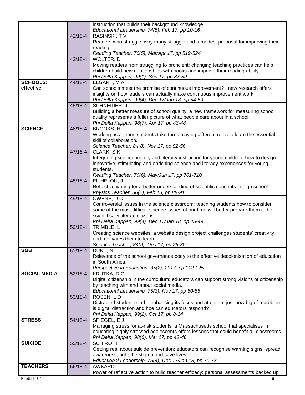|                     |             | instruction that builds their background knowledge.<br>Educational Leadership, 74(5), Feb 17, pp 10-16                                                                      |
|---------------------|-------------|-----------------------------------------------------------------------------------------------------------------------------------------------------------------------------|
|                     | $42/18 - 4$ | RASINSKI, TV                                                                                                                                                                |
|                     |             | Readers who struggle: why many struggle and a modest proposal for improving their                                                                                           |
|                     |             | reading.                                                                                                                                                                    |
|                     |             | Reading Teacher, 70(5), Mar/Apr 17, pp 519-524                                                                                                                              |
|                     | 43/18-4     | WOLTER, D                                                                                                                                                                   |
|                     |             | Moving readers from struggling to proficient: changing teaching practices can help                                                                                          |
|                     |             | children build new relationships with books and improve their reading ability.                                                                                              |
| <b>SCHOOLS:</b>     | 44/18-4     | Phi Delta Kappan, 99(1), Sep 17, pp 37-39<br>ELGART, MA                                                                                                                     |
| effective           |             | Can schools meet the promise of continuous improvement? : new research offers                                                                                               |
|                     |             | insights on how leaders can actually make continuous improvement work.                                                                                                      |
|                     |             | Phi Delta Kappan, 99(4), Dec 17/Jan 18, pp 54-59                                                                                                                            |
|                     | 45/18-4     | SCHNEIDER, J                                                                                                                                                                |
|                     |             | Building a better measure of school quality: a new framework for measuring school                                                                                           |
|                     |             | quality represents a fuller picture of what people care about in a school.                                                                                                  |
|                     |             | Phi Delta Kappan, 98(7), Apr 17, pp 43-48                                                                                                                                   |
| <b>SCIENCE</b>      | 46/18-4     | BROOKS, H                                                                                                                                                                   |
|                     |             | Working as a team: students take turns playing different roles to learn the essential                                                                                       |
|                     |             | skill of collaboration.                                                                                                                                                     |
|                     | 47/18-4     | Science Teacher, 84(8), Nov 17, pp 52-56<br>CLARK, SK                                                                                                                       |
|                     |             | Integrating science inquiry and literacy instruction for young children: how to design                                                                                      |
|                     |             | innovative, stimulating and enriching science and literacy experiences for young                                                                                            |
|                     |             | students.                                                                                                                                                                   |
|                     |             | Reading Teacher, 70(6), May/Jun 17, pp 701-710                                                                                                                              |
|                     | 48/18-4     | EL-HELOU, J                                                                                                                                                                 |
|                     |             | Reflective writing for a better understanding of scientific concepts in high school.                                                                                        |
|                     |             | Physics Teacher, 56(2), Feb 18, pp 88-91                                                                                                                                    |
|                     | 49/18-4     | OWENS, DC                                                                                                                                                                   |
|                     |             | Controversial issues in the science classroom: teaching students how to consider                                                                                            |
|                     |             | some of the most difficult science issues of our time will better prepare them to be<br>scientifically literate citizens.                                                   |
|                     |             | Phi Delta Kappan, 99(4), Dec 17/Jan 18, pp 45-49                                                                                                                            |
|                     | $50/18 - 4$ | TRIMBLE, L                                                                                                                                                                  |
|                     |             | Creating science websites: a website design project challenges students' creativity                                                                                         |
|                     |             | and motivates them to learn.                                                                                                                                                |
|                     |             | Science Teacher, 84(9), Dec 17, pp 25-30                                                                                                                                    |
| <b>SGB</b>          | $51/18 - 4$ | DUKU, N                                                                                                                                                                     |
|                     |             | Relevance of the school governance body to the effective decolonisation of education                                                                                        |
|                     |             | in South Africa.                                                                                                                                                            |
| <b>SOCIAL MEDIA</b> | $52/18-4$   | Perspective in Education, 35(2), 2017, pp 112-125<br>KRUTKA, D G                                                                                                            |
|                     |             | Digital citizenship in the curriculum: educators can support strong visions of citizenship                                                                                  |
|                     |             | by teaching with and about social media.                                                                                                                                    |
|                     |             | Educational Leadership, 75(3), Nov 17, pp 50-55                                                                                                                             |
|                     | 53/18-4     | ROSEN, LD                                                                                                                                                                   |
|                     |             | Distracted student mind – enhancing its focus and attention: just how big of a problem                                                                                      |
|                     |             | is digital distraction and hoe can educators respond?                                                                                                                       |
|                     |             | Phi Delta Kappan, 99(2), Oct 17, pp 8-14                                                                                                                                    |
| <b>STRESS</b>       | $54/18 - 4$ | SPIEGEL, E J                                                                                                                                                                |
|                     |             | Managing stress for at-risk students: a Massachusetts school that specialises in<br>educating highly stressed adolescents offers lessons that could benefit all classrooms. |
|                     |             | Phi Delta Kappan, 98(6), Mar 17, pp 42-46                                                                                                                                   |
| <b>SUICIDE</b>      | 55/18-4     | SCHIRO, T                                                                                                                                                                   |
|                     |             | Getting real about suicide prevention: educators can recognise warning signs, spread                                                                                        |
|                     |             | awareness, fight the stigma and save lives.                                                                                                                                 |
|                     |             | Educational Leadership, 75(4), Dec 17/Jan 18, pp 70-73                                                                                                                      |
| <b>TEACHERS</b>     | 56/18-4     | AWKARD, T                                                                                                                                                                   |
|                     |             | Power of reflective action to build teacher efficacy: personal assessments backed up                                                                                        |